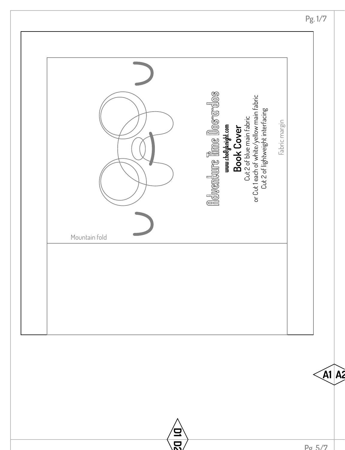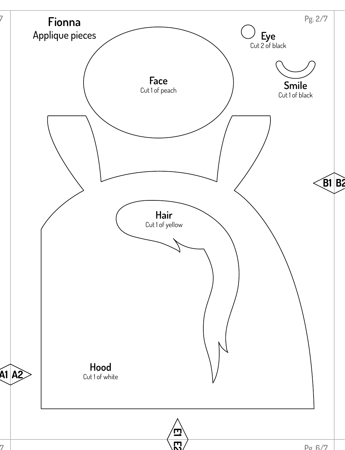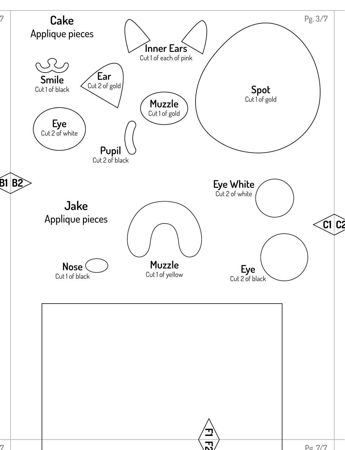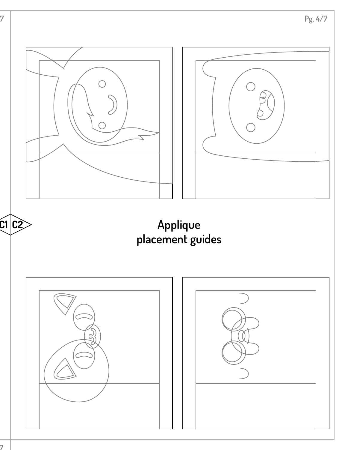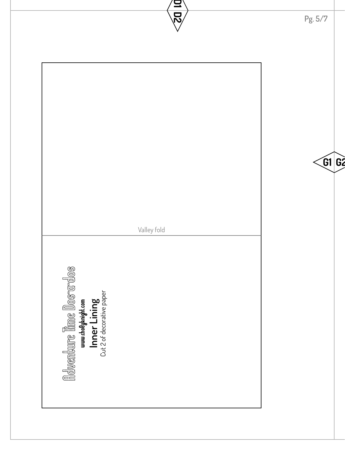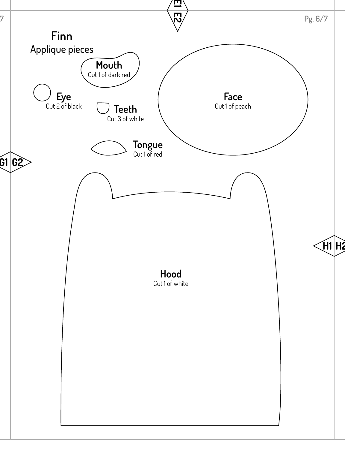